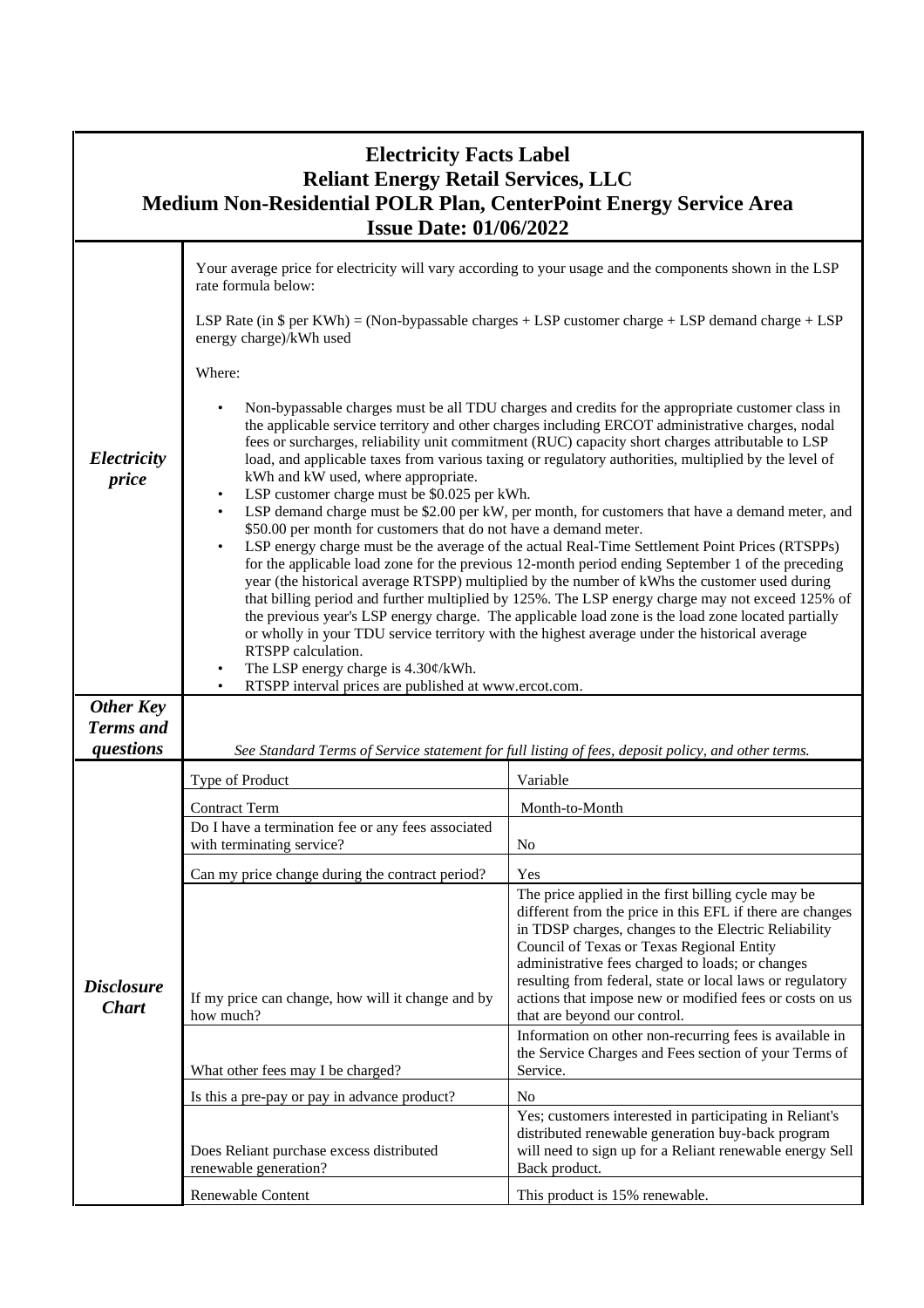| <b>Electricity Facts Label</b><br><b>Reliant Energy Retail Services, LLC</b><br>Medium Non-Residential POLR Plan, CenterPoint Energy Service Area<br><b>Issue Date: 01/06/2022</b> |                                                                                                                                                                                                                                                                                                                                                                                                                                                                                                                                                                                                                                                                                                                                                                                                                                                                                                                                                                                                                                                                                                                                                                                                                                                                                                                                                                                                                                             |                                                                                                                                                                                                                                                                                                                                                                                                                                   |  |
|------------------------------------------------------------------------------------------------------------------------------------------------------------------------------------|---------------------------------------------------------------------------------------------------------------------------------------------------------------------------------------------------------------------------------------------------------------------------------------------------------------------------------------------------------------------------------------------------------------------------------------------------------------------------------------------------------------------------------------------------------------------------------------------------------------------------------------------------------------------------------------------------------------------------------------------------------------------------------------------------------------------------------------------------------------------------------------------------------------------------------------------------------------------------------------------------------------------------------------------------------------------------------------------------------------------------------------------------------------------------------------------------------------------------------------------------------------------------------------------------------------------------------------------------------------------------------------------------------------------------------------------|-----------------------------------------------------------------------------------------------------------------------------------------------------------------------------------------------------------------------------------------------------------------------------------------------------------------------------------------------------------------------------------------------------------------------------------|--|
|                                                                                                                                                                                    | Your average price for electricity will vary according to your usage and the components shown in the LSP<br>rate formula below:                                                                                                                                                                                                                                                                                                                                                                                                                                                                                                                                                                                                                                                                                                                                                                                                                                                                                                                                                                                                                                                                                                                                                                                                                                                                                                             |                                                                                                                                                                                                                                                                                                                                                                                                                                   |  |
|                                                                                                                                                                                    | LSP Rate (in $\$$ per KWh) = (Non-bypassable charges + LSP customer charge + LSP demand charge + LSP<br>energy charge)/kWh used                                                                                                                                                                                                                                                                                                                                                                                                                                                                                                                                                                                                                                                                                                                                                                                                                                                                                                                                                                                                                                                                                                                                                                                                                                                                                                             |                                                                                                                                                                                                                                                                                                                                                                                                                                   |  |
|                                                                                                                                                                                    | Where:                                                                                                                                                                                                                                                                                                                                                                                                                                                                                                                                                                                                                                                                                                                                                                                                                                                                                                                                                                                                                                                                                                                                                                                                                                                                                                                                                                                                                                      |                                                                                                                                                                                                                                                                                                                                                                                                                                   |  |
| Electricity<br>price                                                                                                                                                               | Non-bypassable charges must be all TDU charges and credits for the appropriate customer class in<br>the applicable service territory and other charges including ERCOT administrative charges, nodal<br>fees or surcharges, reliability unit commitment (RUC) capacity short charges attributable to LSP<br>load, and applicable taxes from various taxing or regulatory authorities, multiplied by the level of<br>kWh and kW used, where appropriate.<br>LSP customer charge must be \$0.025 per kWh.<br>LSP demand charge must be \$2.00 per kW, per month, for customers that have a demand meter, and<br>\$50.00 per month for customers that do not have a demand meter.<br>LSP energy charge must be the average of the actual Real-Time Settlement Point Prices (RTSPPs)<br>for the applicable load zone for the previous 12-month period ending September 1 of the preceding<br>year (the historical average RTSPP) multiplied by the number of kWhs the customer used during<br>that billing period and further multiplied by 125%. The LSP energy charge may not exceed 125% of<br>the previous year's LSP energy charge. The applicable load zone is the load zone located partially<br>or wholly in your TDU service territory with the highest average under the historical average<br>RTSPP calculation.<br>The LSP energy charge is $4.30 \frac{\cancel{\ }$ /kWh.<br>RTSPP interval prices are published at www.ercot.com. |                                                                                                                                                                                                                                                                                                                                                                                                                                   |  |
| <b>Other Key</b><br><b>Terms</b> and<br>questions                                                                                                                                  | See Standard Terms of Service statement for full listing of fees, deposit policy, and other terms.                                                                                                                                                                                                                                                                                                                                                                                                                                                                                                                                                                                                                                                                                                                                                                                                                                                                                                                                                                                                                                                                                                                                                                                                                                                                                                                                          |                                                                                                                                                                                                                                                                                                                                                                                                                                   |  |
| <b>Disclosure</b><br><b>Chart</b>                                                                                                                                                  | Type of Product                                                                                                                                                                                                                                                                                                                                                                                                                                                                                                                                                                                                                                                                                                                                                                                                                                                                                                                                                                                                                                                                                                                                                                                                                                                                                                                                                                                                                             | Variable                                                                                                                                                                                                                                                                                                                                                                                                                          |  |
|                                                                                                                                                                                    | <b>Contract Term</b>                                                                                                                                                                                                                                                                                                                                                                                                                                                                                                                                                                                                                                                                                                                                                                                                                                                                                                                                                                                                                                                                                                                                                                                                                                                                                                                                                                                                                        | Month-to-Month                                                                                                                                                                                                                                                                                                                                                                                                                    |  |
|                                                                                                                                                                                    | Do I have a termination fee or any fees associated<br>with terminating service?                                                                                                                                                                                                                                                                                                                                                                                                                                                                                                                                                                                                                                                                                                                                                                                                                                                                                                                                                                                                                                                                                                                                                                                                                                                                                                                                                             | N <sub>0</sub>                                                                                                                                                                                                                                                                                                                                                                                                                    |  |
|                                                                                                                                                                                    | Can my price change during the contract period?                                                                                                                                                                                                                                                                                                                                                                                                                                                                                                                                                                                                                                                                                                                                                                                                                                                                                                                                                                                                                                                                                                                                                                                                                                                                                                                                                                                             | Yes                                                                                                                                                                                                                                                                                                                                                                                                                               |  |
|                                                                                                                                                                                    | If my price can change, how will it change and by<br>how much?                                                                                                                                                                                                                                                                                                                                                                                                                                                                                                                                                                                                                                                                                                                                                                                                                                                                                                                                                                                                                                                                                                                                                                                                                                                                                                                                                                              | The price applied in the first billing cycle may be<br>different from the price in this EFL if there are changes<br>in TDSP charges, changes to the Electric Reliability<br>Council of Texas or Texas Regional Entity<br>administrative fees charged to loads; or changes<br>resulting from federal, state or local laws or regulatory<br>actions that impose new or modified fees or costs on us<br>that are beyond our control. |  |
|                                                                                                                                                                                    | What other fees may I be charged?                                                                                                                                                                                                                                                                                                                                                                                                                                                                                                                                                                                                                                                                                                                                                                                                                                                                                                                                                                                                                                                                                                                                                                                                                                                                                                                                                                                                           | Information on other non-recurring fees is available in<br>the Service Charges and Fees section of your Terms of<br>Service.                                                                                                                                                                                                                                                                                                      |  |
|                                                                                                                                                                                    | Is this a pre-pay or pay in advance product?                                                                                                                                                                                                                                                                                                                                                                                                                                                                                                                                                                                                                                                                                                                                                                                                                                                                                                                                                                                                                                                                                                                                                                                                                                                                                                                                                                                                | N <sub>o</sub>                                                                                                                                                                                                                                                                                                                                                                                                                    |  |
|                                                                                                                                                                                    | Does Reliant purchase excess distributed<br>renewable generation?                                                                                                                                                                                                                                                                                                                                                                                                                                                                                                                                                                                                                                                                                                                                                                                                                                                                                                                                                                                                                                                                                                                                                                                                                                                                                                                                                                           | Yes; customers interested in participating in Reliant's<br>distributed renewable generation buy-back program<br>will need to sign up for a Reliant renewable energy Sell<br>Back product.                                                                                                                                                                                                                                         |  |
|                                                                                                                                                                                    | Renewable Content                                                                                                                                                                                                                                                                                                                                                                                                                                                                                                                                                                                                                                                                                                                                                                                                                                                                                                                                                                                                                                                                                                                                                                                                                                                                                                                                                                                                                           | This product is 15% renewable.                                                                                                                                                                                                                                                                                                                                                                                                    |  |